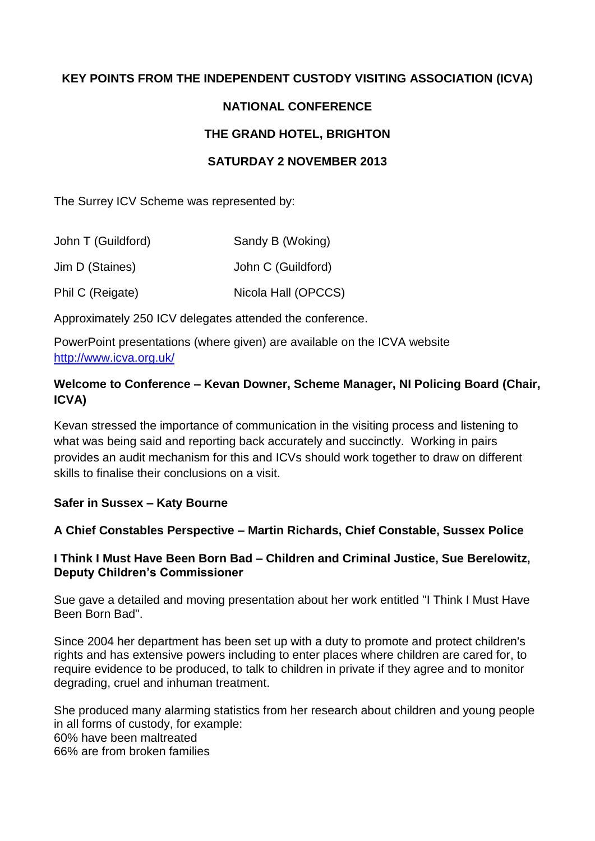# **KEY POINTS FROM THE INDEPENDENT CUSTODY VISITING ASSOCIATION (ICVA)**

## **NATIONAL CONFERENCE**

## **THE GRAND HOTEL, BRIGHTON**

### **SATURDAY 2 NOVEMBER 2013**

The Surrey ICV Scheme was represented by:

| John T (Guildford) | Sandy B (Woking)    |
|--------------------|---------------------|
| Jim D (Staines)    | John C (Guildford)  |
| Phil C (Reigate)   | Nicola Hall (OPCCS) |

Approximately 250 ICV delegates attended the conference.

PowerPoint presentations (where given) are available on the ICVA website <http://www.icva.org.uk/>

# **Welcome to Conference – Kevan Downer, Scheme Manager, NI Policing Board (Chair, ICVA)**

Kevan stressed the importance of communication in the visiting process and listening to what was being said and reporting back accurately and succinctly. Working in pairs provides an audit mechanism for this and ICVs should work together to draw on different skills to finalise their conclusions on a visit.

## **Safer in Sussex – Katy Bourne**

## **A Chief Constables Perspective – Martin Richards, Chief Constable, Sussex Police**

#### **I Think I Must Have Been Born Bad – Children and Criminal Justice, Sue Berelowitz, Deputy Children's Commissioner**

Sue gave a detailed and moving presentation about her work entitled "I Think I Must Have Been Born Bad".

Since 2004 her department has been set up with a duty to promote and protect children's rights and has extensive powers including to enter places where children are cared for, to require evidence to be produced, to talk to children in private if they agree and to monitor degrading, cruel and inhuman treatment.

She produced many alarming statistics from her research about children and young people in all forms of custody, for example: 60% have been maltreated 66% are from broken families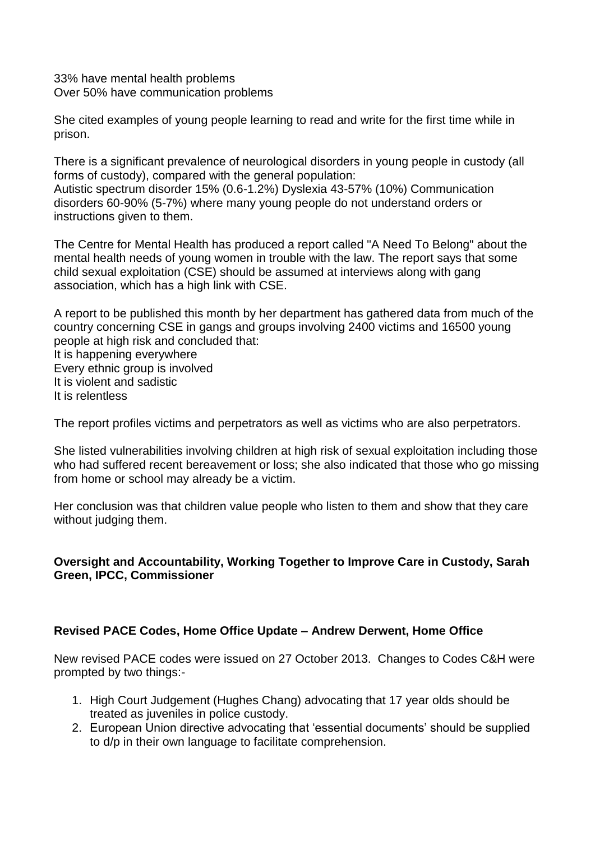33% have mental health problems Over 50% have communication problems

She cited examples of young people learning to read and write for the first time while in prison.

There is a significant prevalence of neurological disorders in young people in custody (all forms of custody), compared with the general population: Autistic spectrum disorder 15% (0.6-1.2%) Dyslexia 43-57% (10%) Communication disorders 60-90% (5-7%) where many young people do not understand orders or instructions given to them.

The Centre for Mental Health has produced a report called "A Need To Belong" about the mental health needs of young women in trouble with the law. The report says that some child sexual exploitation (CSE) should be assumed at interviews along with gang association, which has a high link with CSE.

A report to be published this month by her department has gathered data from much of the country concerning CSE in gangs and groups involving 2400 victims and 16500 young people at high risk and concluded that: It is happening everywhere Every ethnic group is involved

It is violent and sadistic It is relentless

The report profiles victims and perpetrators as well as victims who are also perpetrators.

She listed vulnerabilities involving children at high risk of sexual exploitation including those who had suffered recent bereavement or loss; she also indicated that those who go missing from home or school may already be a victim.

Her conclusion was that children value people who listen to them and show that they care without judging them.

## **Oversight and Accountability, Working Together to Improve Care in Custody, Sarah Green, IPCC, Commissioner**

## **Revised PACE Codes, Home Office Update – Andrew Derwent, Home Office**

New revised PACE codes were issued on 27 October 2013. Changes to Codes C&H were prompted by two things:-

- 1. High Court Judgement (Hughes Chang) advocating that 17 year olds should be treated as juveniles in police custody.
- 2. European Union directive advocating that 'essential documents' should be supplied to d/p in their own language to facilitate comprehension.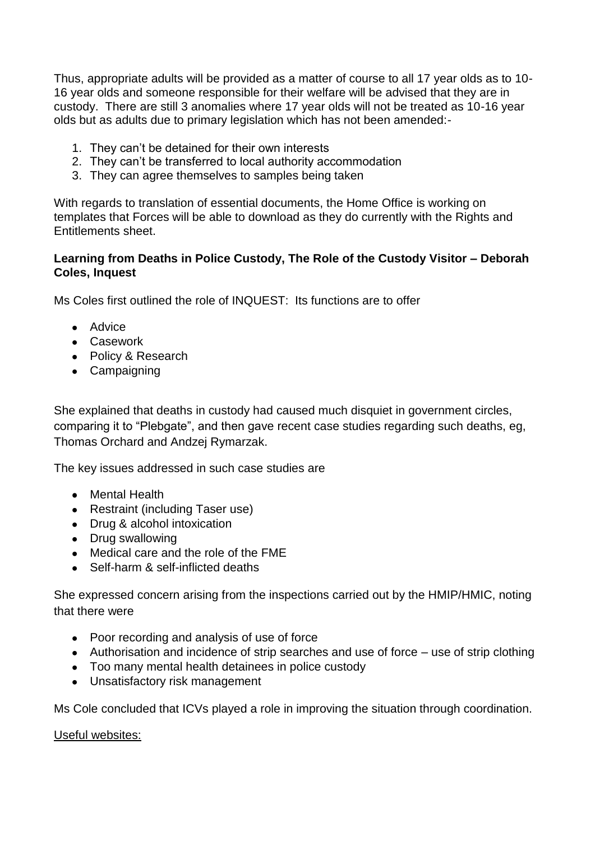Thus, appropriate adults will be provided as a matter of course to all 17 year olds as to 10- 16 year olds and someone responsible for their welfare will be advised that they are in custody. There are still 3 anomalies where 17 year olds will not be treated as 10-16 year olds but as adults due to primary legislation which has not been amended:-

- 1. They can't be detained for their own interests
- 2. They can't be transferred to local authority accommodation
- 3. They can agree themselves to samples being taken

With regards to translation of essential documents, the Home Office is working on templates that Forces will be able to download as they do currently with the Rights and Entitlements sheet.

#### **Learning from Deaths in Police Custody, The Role of the Custody Visitor – Deborah Coles, Inquest**

Ms Coles first outlined the role of INQUEST: Its functions are to offer

- Advice
- Casework
- Policy & Research
- Campaigning

She explained that deaths in custody had caused much disquiet in government circles, comparing it to "Plebgate", and then gave recent case studies regarding such deaths, eg, Thomas Orchard and Andzej Rymarzak.

The key issues addressed in such case studies are

- Mental Health
- Restraint (including Taser use)
- Drug & alcohol intoxication
- Drug swallowing
- Medical care and the role of the FME
- Self-harm & self-inflicted deaths

She expressed concern arising from the inspections carried out by the HMIP/HMIC, noting that there were

- Poor recording and analysis of use of force
- Authorisation and incidence of strip searches and use of force use of strip clothing
- Too many mental health detainees in police custody
- Unsatisfactory risk management

Ms Cole concluded that ICVs played a role in improving the situation through coordination.

#### Useful websites: